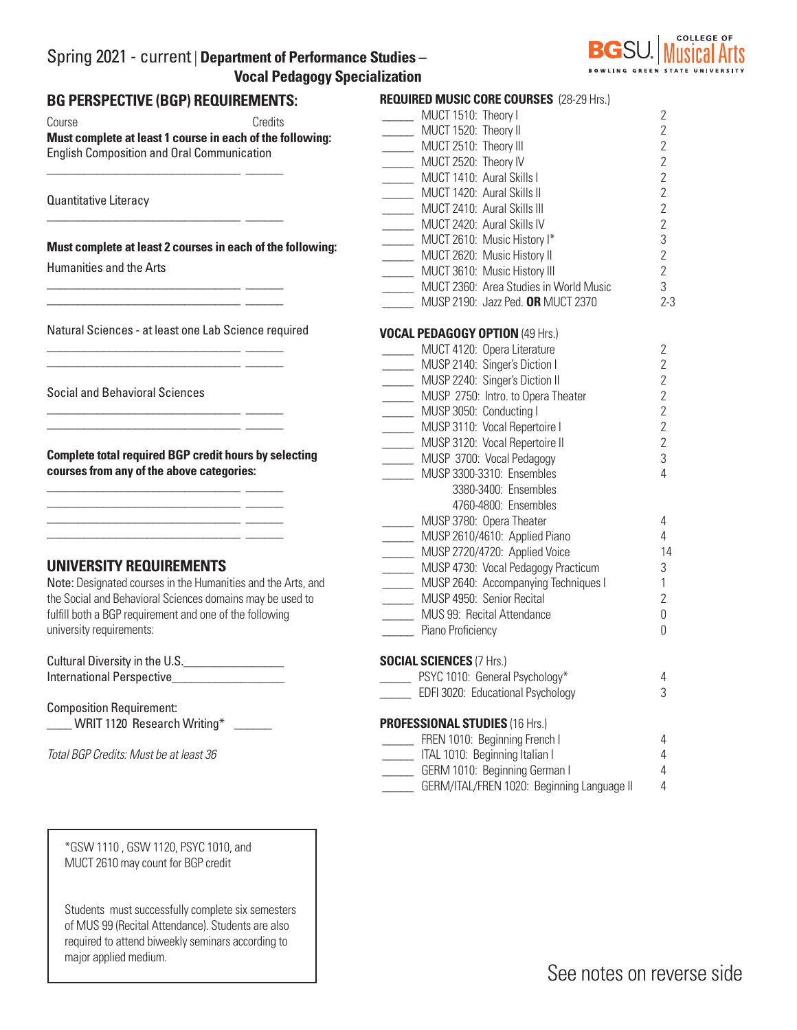## Spring 2021 - current | **Department of Performance Studies – Vocal Pedagogy Specialization**



# **BG PERSPECTIVE (BGP) REQUIREMENTS:**  Course Credits **Must complete at least 1 course in each of the following:**  English Composition and Oral Communication \_\_\_\_\_\_\_\_\_\_\_\_\_\_\_\_\_\_\_\_\_\_\_\_\_\_\_\_\_\_\_ \_\_\_\_\_\_ Quantitative Literacy \_\_\_\_\_\_\_\_\_\_\_\_\_\_\_\_\_\_\_\_\_\_\_\_\_\_\_\_\_\_\_ \_\_\_\_\_\_ **Must complete at least 2 courses in each of the following:** Humanities and the Arts \_\_\_\_\_\_\_\_\_\_\_\_\_\_\_\_\_\_\_\_\_\_\_\_\_\_\_\_\_\_\_ \_\_\_\_\_\_ \_\_\_\_\_\_\_\_\_\_\_\_\_\_\_\_\_\_\_\_\_\_\_\_\_\_\_\_\_\_\_ \_\_\_\_\_\_ Natural Sciences - at least one Lab Science required \_\_\_\_\_\_\_\_\_\_\_\_\_\_\_\_\_\_\_\_\_\_\_\_\_\_\_\_\_\_\_ \_\_\_\_\_\_ \_\_\_\_\_\_\_\_\_\_\_\_\_\_\_\_\_\_\_\_\_\_\_\_\_\_\_\_\_\_\_ \_\_\_\_\_\_ Social and Behavioral Sciences \_\_\_\_\_\_\_\_\_\_\_\_\_\_\_\_\_\_\_\_\_\_\_\_\_\_\_\_\_\_\_ \_\_\_\_\_\_ \_\_\_\_\_\_\_\_\_\_\_\_\_\_\_\_\_\_\_\_\_\_\_\_\_\_\_\_\_\_\_ \_\_\_\_\_\_ **Complete total required BGP credit hours by selecting courses from any of the above categories:** \_\_\_\_\_\_\_\_\_\_\_\_\_\_\_\_\_\_\_\_\_\_\_\_\_\_\_\_\_\_\_ \_\_\_\_\_\_ \_\_\_\_\_\_\_\_\_\_\_\_\_\_\_\_\_\_\_\_\_\_\_\_\_\_\_\_\_\_\_ \_\_\_\_\_\_ \_\_\_\_\_\_\_\_\_\_\_\_\_\_\_\_\_\_\_\_\_\_\_\_\_\_\_\_\_\_\_ \_\_\_\_\_\_ \_\_\_\_\_\_\_\_\_\_\_\_\_\_\_\_\_\_\_\_\_\_\_\_\_\_\_\_\_\_\_ \_\_\_\_\_\_ **UNIVERSITY REQUIREMENTS**  Note: Designated courses in the Humanities and the Arts, and the Social and Behavioral Sciences domains may be used to fulfill both a BGP requirement and one of the following university requirements: Cultural Diversity in the U.S. International Perspective **REQUIRED MUSIC CORE COURSES** (28-29 Hrs.)

Composition Requirement:

\_\_\_\_ WRIT 1120 Research Writing\* \_\_\_\_\_\_

*Total BGP Credits: Must be at least 36*

\*GSW 1110 , GSW 1120, PSYC 1010, and MUCT 2610 may count for BGP credit

Students must successfully complete six semesters of MUS 99 (Recital Attendance). Students are also required to attend biweekly seminars according to major applied medium.

| <u>NEUVINED MIUSIU UUNE UUUNSES (ZO-ZO NIS.)</u> |                |
|--------------------------------------------------|----------------|
| MUCT 1510: Theory I                              | $\overline{2}$ |
| MUCT 1520: Theory II                             | $\overline{2}$ |
| MUCT 2510: Theory III                            | $\overline{2}$ |
| MUCT 2520: Theory IV                             | $\overline{2}$ |
| MUCT 1410: Aural Skills I                        | $\overline{2}$ |
| MUCT 1420: Aural Skills II                       | $\overline{2}$ |
| MUCT 2410: Aural Skills III                      | $\overline{2}$ |
| MUCT 2420: Aural Skills IV                       | $\overline{2}$ |
| MUCT 2610: Music History I*                      | 3              |
| MUCT 2620: Music History II                      | $\overline{2}$ |
| MUCT 3610: Music History III                     | $\overline{2}$ |
| MUCT 2360: Area Studies in World Music           | 3              |
| MUSP 2190: Jazz Ped. OR MUCT 2370                | $2 - 3$        |
| <b>VOCAL PEDAGOGY OPTION (49 Hrs.)</b>           |                |
| MUCT 4120: Opera Literature                      | $\overline{2}$ |
| MUSP 2140: Singer's Diction I                    | $\overline{2}$ |
| MUSP 2240: Singer's Diction II                   | $\overline{2}$ |
| MUSP 2750: Intro. to Opera Theater               | $\overline{2}$ |
| MUSP 3050: Conducting I                          | $\overline{2}$ |
| MUSP 3110: Vocal Repertoire I                    | $\overline{2}$ |
| MUSP 3120: Vocal Repertoire II                   | $\overline{2}$ |
| MUSP 3700: Vocal Pedagogy                        | 3              |
| MUSP 3300-3310: Ensembles                        | 4              |
| 3380-3400: Ensembles                             |                |
| 4760-4800: Ensembles                             |                |
| MUSP 3780: Opera Theater                         | 4              |
| MUSP 2610/4610: Applied Piano                    | 4              |
| MUSP 2720/4720: Applied Voice                    | 14             |
| MUSP 4730: Vocal Pedagogy Practicum              | 3              |
| MUSP 2640: Accompanying Techniques I             | 1              |
| MUSP 4950: Senior Recital                        | $\overline{2}$ |
| MUS 99: Recital Attendance                       | 0              |
| Piano Proficiency                                | 0              |
| <b>SOCIAL SCIENCES (7 Hrs.)</b>                  |                |
| PSYC 1010: General Psychology*                   | 4              |
| EDFI 3020: Educational Psychology                | 3              |
| <b>PROFESSIONAL STUDIES (16 Hrs.)</b>            |                |
| FREN 1010: Beginning French I                    | 4              |
| ITAL 1010: Beginning Italian I                   | 4              |
| GERM 1010: Beginning German I                    | 4              |
| GERM/ITAL/FREN 1020: Beginning Language II       | 4              |